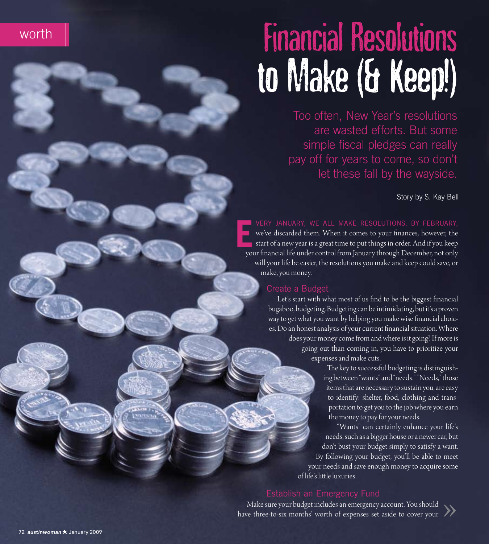

# **Financial Resolutions** to Make (& Keep!)

Too often, New Year's resolutions are wasted efforts. But some simple fiscal pledges can really pay off for years to come, so don't let these fall by the wayside.

Story by S. Kay Bell

VERY JANUARY, WE ALL MAKE RESOLUTIONS. BY FEBRUARY, we've discarded them. When it comes to your finances, however, the start of a new year is a great time to put things in order. And if you keep your financial life under control from January through December, not only will your life be easier, the resolutions you make and keep could save, or make, you money.

#### Create a Budget

Let's start with what most of us find to be the biggest financial bugaboo, budgeting. Budgeting can be intimidating, but it's a proven way to get what you want by helping you make wise financial choices. Do an honest analysis of your current financial situation. Where does your money come from and where is it going? If more is

going out than coming in, you have to prioritize your expenses and make cuts.

> The key to successful budgeting is distinguishing between "wants" and "needs." "Needs," those items that are necessary to sustain you, are easy to identify: shelter, food, clothing and transportation to get you to the job where you earn the money to pay for your needs.

"Wants" can certainly enhance your life's needs, such as a bigger house or a newer car, but don't bust your budget simply to satisfy a want. By following your budget, you'll be able to meet your needs and save enough money to acquire some of life's little luxuries

#### Establish an Emergency Fund

Make sure your budget includes an emergency account. You should have three-to-six months' worth of expenses set aside to cover your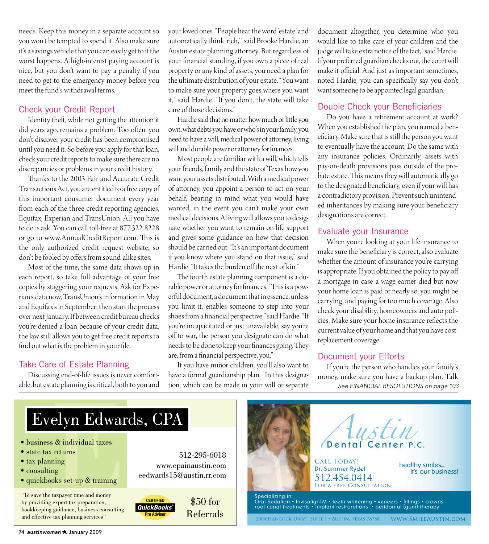needs. Keep this money in a separate account so you won't be tempted to spend it. Also make sure it's a savings vehicle that you can easily get to if the worst happens. A high-interest paying account is nice, but you don't want to pay a penalty if you need to get to the emergency money before you meet the fund's withdrawal terms.

#### Check your Credit Report

Identity theft, while not getting the attention it did years ago, remains a problem. Too often, you don't discover your credit has been compromised until you need it. So before you apply for that loan, check your credit reports to make sure there are no discrepancies or problems in your credit history.

Thanks to the 2003 Fair and Accurate Credit Transactions Act, you are entitled to a free copy of this important consumer document every year from each of the three credit-reporting agencies, Equifax, Experian and TransUnion. All you have to do is ask. You can call toll-free at 877.322.8228 or go to www.AnnualCreditReport.com. This is the only authorized credit request website, so don't be fooled by offers from sound-alike sites.

Most of the time, the same data shows up in each report, so take full advantage of your free copies by staggering your requests. Ask for Experian's data now, TransUnion's information in May and Equifax's in September; then start the process over next January. If between credit bureau checks you're denied a loan because of your credit data, the law still allows you to get free credit reports to find out what is the problem in your file.

#### Take Care of Estate Planning

Discussing end-of-life issues is never comfortable, but estate planning is critical, both to you and your loved ones. "People hear the word 'estate' and automatically think 'rich," said Brooke Hardie, an Austin estate planning attorney. But regardless of your financial standing, if you own a piece of real property or any kind of assets, you need a plan for the ultimate distribution of your estate. "You want to make sure your property goes where you want it," said Hardie. "If you don't, the state will take care of those decisions."

Hardie said that no matter how much or little you own, what debts you have or who's in your family, you need to have a will, medical power of attorney, living will and durable power or attorney for finances.

Most people are familiar with a will, which tells your friends, family and the state of Texas how you want your assets distributed. With a medical power of attorney, you appoint a person to act on your behalf, bearing in mind what you would have wanted, in the event you can't make your own medical decisions. A living will allows you to designate whether you want to remain on life support and gives some guidance on how that decision should be carried out. "It's an important document if you know where you stand on that issue," said Hardie. "It takes the burden off the next of kin."

The fourth estate planning component is a durable power or attorney for finances. "This is a powerful document, a document that in essence, unless you limit it, enables someone to step into your shoes from a financial perspective," said Hardie. "If you're incapacitated or just unavailable, say you're off to war, the person you designate can do what needs to be done to keep your finances going. They are, from a financial perspective, you."

If you have minor children, you'll also want to have a formal guardianship plan. "In this designation, which can be made in your will or separate

document altogether, you determine who you would like to take care of your children and the judge will take extra notice of the fact," said Hardie. If your preferred guardian checks out, the court will make it official. And just as important sometimes, noted Hardie, you can specifically say you don't want someone to be appointed legal guardian.

#### Double Check your Beneficiaries

Do you have a retirement account at work? When you established the plan, you named a beneficiary. Make sure that is still the person you want to eventually have the account. Do the same with any insurance policies. Ordinarily, assets with pay-on-death provisions pass outside of the probate estate. This means they will automatically go to the designated beneficiary, even if your will has a contradictory provision. Prevent such unintended inheritances by making sure your beneficiary designations are correct.

#### Evaluate your Insurance

When you're looking at your life insurance to make sure the beneficiary is correct, also evaluate whether the amount of insurance you're carrying is appropriate. If you obtained the policy to pay off a mortgage in case a wage-earner died but now your home loan is paid or nearly so, you might be carrying, and paying for too much coverage. Also check your disability, homeowners and auto policies. Make sure your home insurance reflects the current value of your home and that you have costreplacement coverage.

#### Document your Efforts

If you're the person who handles your family's money, make sure you have a backup plan. Talk See FINANCIAL RESOLUTIONS on page 103